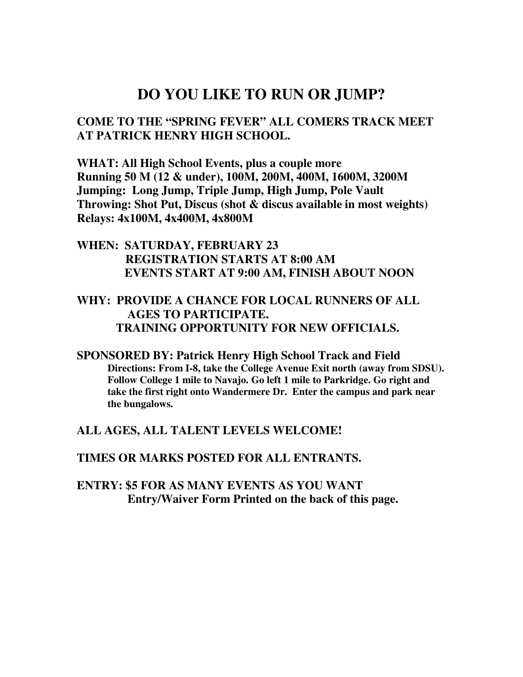# **DO YOU LIKE TO RUN OR JUMP?**

**COME TO THE "SPRING FEVER" ALL COMERS TRACK MEET AT PATRICK HENRY HIGH SCHOOL.** 

**WHAT: All High School Events, plus a couple more Running 50 M (12 & under), 100M, 200M, 400M, 1600M, 3200M Jumping: Long Jump, Triple Jump, High Jump, Pole Vault Throwing: Shot Put, Discus (shot & discus available in most weights) Relays: 4x100M, 4x400M, 4x800M** 

#### **WHEN: SATURDAY, FEBRUARY 23 REGISTRATION STARTS AT 8:00 AM EVENTS START AT 9:00 AM, FINISH ABOUT NOON**

### **WHY: PROVIDE A CHANCE FOR LOCAL RUNNERS OF ALL AGES TO PARTICIPATE. TRAINING OPPORTUNITY FOR NEW OFFICIALS.**

**SPONSORED BY: Patrick Henry High School Track and Field Directions: From I-8, take the College Avenue Exit north (away from SDSU). Follow College 1 mile to Navajo. Go left 1 mile to Parkridge. Go right and take the first right onto Wandermere Dr. Enter the campus and park near the bungalows.** 

**ALL AGES, ALL TALENT LEVELS WELCOME!** 

**TIMES OR MARKS POSTED FOR ALL ENTRANTS.** 

**ENTRY: \$5 FOR AS MANY EVENTS AS YOU WANT Entry/Waiver Form Printed on the back of this page.**